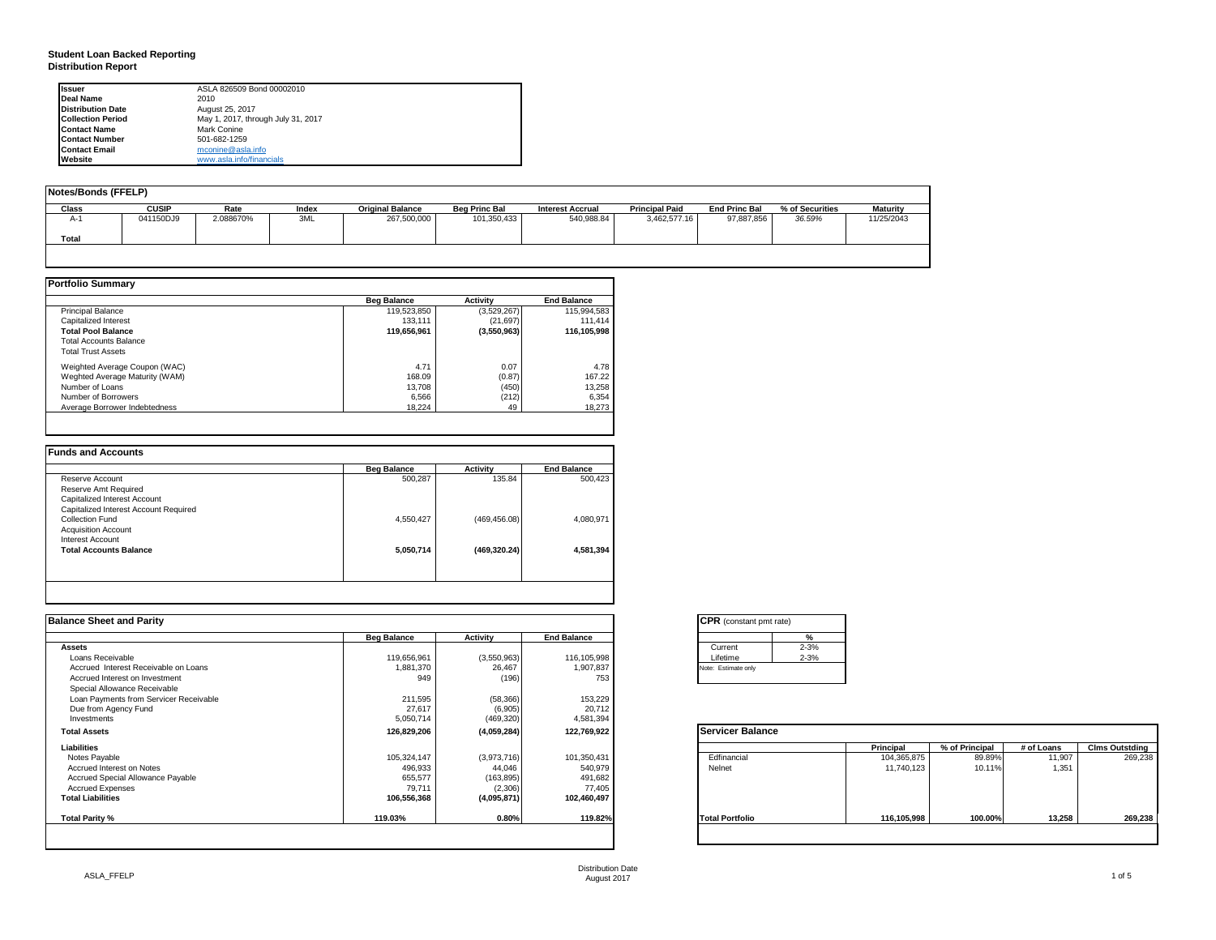#### **Student Loan Backed Reporting Distribution Report**

| <b>Issuer</b>            | ASLA 826509 Bond 00002010          |
|--------------------------|------------------------------------|
| Deal Name                | 2010                               |
| <b>Distribution Date</b> | August 25, 2017                    |
| <b>Collection Period</b> | May 1, 2017, through July 31, 2017 |
| <b>Contact Name</b>      | Mark Conine                        |
| <b>Contact Number</b>    | 501-682-1259                       |
| <b>Contact Email</b>     | mconine@asla.info                  |
| Website                  | www.asla.info/financials           |

| Notes/Bonds (FFELP) |              |           |       |                         |                      |                         |                       |                      |                 |                 |
|---------------------|--------------|-----------|-------|-------------------------|----------------------|-------------------------|-----------------------|----------------------|-----------------|-----------------|
| Class               | <b>CUSIP</b> | Rate      | Index | <b>Original Balance</b> | <b>Bea Princ Bal</b> | <b>Interest Accrual</b> | <b>Principal Paid</b> | <b>End Princ Bal</b> | % of Securities | <b>Maturity</b> |
| А-                  | 041150DJ9    | 2.088670% | 3ML   | 267,500,000             | 101,350,433          | 540,988.84              | 3,462,577.16          | 97,887,856           | 36.59%          | 11/25/2043      |
| Total               |              |           |       |                         |                      |                         |                       |                      |                 |                 |
|                     |              |           |       |                         |                      |                         |                       |                      |                 |                 |

|                                | <b>Beg Balance</b> | <b>Activity</b> | <b>End Balance</b> |
|--------------------------------|--------------------|-----------------|--------------------|
| <b>Principal Balance</b>       | 119,523,850        | (3,529,267)     | 115,994,583        |
| Capitalized Interest           | 133.111            | (21, 697)       | 111.414            |
| <b>Total Pool Balance</b>      | 119,656,961        | (3,550,963)     | 116,105,998        |
| <b>Total Accounts Balance</b>  |                    |                 |                    |
| <b>Total Trust Assets</b>      |                    |                 |                    |
| Weighted Average Coupon (WAC)  | 4.71               | 0.07            | 4.78               |
| Weghted Average Maturity (WAM) | 168.09             | (0.87)          | 167.22             |
| Number of Loans                | 13.708             | (450)           | 13,258             |
| Number of Borrowers            | 6.566              | (212)           | 6,354              |
| Average Borrower Indebtedness  | 18.224             | 49              | 18.273             |

| Reserve Account<br>Reserve Amt Required | 500.287   | 135.84        | 500,423   |
|-----------------------------------------|-----------|---------------|-----------|
|                                         |           |               |           |
|                                         |           |               |           |
| Capitalized Interest Account            |           |               |           |
| Capitalized Interest Account Required   |           |               |           |
| Collection Fund                         | 4,550,427 | (469, 456.08) | 4,080,971 |
| <b>Acquisition Account</b>              |           |               |           |
| Interest Account                        |           |               |           |
| <b>Total Accounts Balance</b>           | 5,050,714 | (469, 320.24) | 4,581,394 |

| <b>Balance Sheet and Parity</b>        |                    |             |                    | <b>CPR</b> (constant pmt rate) |             |                |            |                       |
|----------------------------------------|--------------------|-------------|--------------------|--------------------------------|-------------|----------------|------------|-----------------------|
|                                        | <b>Beg Balance</b> | Activity    | <b>End Balance</b> | $\frac{9}{6}$                  |             |                |            |                       |
| <b>Assets</b>                          |                    |             |                    | $2 - 3%$<br>Current            |             |                |            |                       |
| Loans Receivable                       | 119,656,961        | (3,550,963) | 116,105,998        | $2 - 3%$<br>Lifetime           |             |                |            |                       |
| Accrued Interest Receivable on Loans   | 1,881,370          | 26,467      | 1,907,837          | Note: Estimate only            |             |                |            |                       |
| Accrued Interest on Investment         | 949                | (196)       | 753                |                                |             |                |            |                       |
| Special Allowance Receivable           |                    |             |                    |                                |             |                |            |                       |
| Loan Payments from Servicer Receivable | 211,595            | (58, 366)   | 153,229            |                                |             |                |            |                       |
| Due from Agency Fund                   | 27,617             | (6,905)     | 20,712             |                                |             |                |            |                       |
| Investments                            | 5,050,714          | (469, 320)  | 4,581,394          |                                |             |                |            |                       |
| <b>Total Assets</b>                    | 126,829,206        | (4,059,284) | 122,769,922        | <b>Servicer Balance</b>        |             |                |            |                       |
| Liabilities                            |                    |             |                    |                                | Principal   | % of Principal | # of Loans | <b>Clms Outstding</b> |
| Notes Payable                          | 105,324,147        | (3,973,716) | 101,350,431        | Edfinancial                    | 104,365,875 | 89.89%         | 11,907     | 269,238               |
| Accrued Interest on Notes              | 496,933            | 44,046      | 540,979            | Nelnet                         | 11,740,123  | 10.11%         | 1,351      |                       |
| Accrued Special Allowance Payable      | 655,577            | (163, 895)  | 491,682            |                                |             |                |            |                       |
| <b>Accrued Expenses</b>                | 79,711             | (2,306)     | 77,405             |                                |             |                |            |                       |
| <b>Total Liabilities</b>               | 106,556,368        | (4,095,871) | 102,460,497        |                                |             |                |            |                       |
| Total Parity %                         | 119.03%            | 0.80%       | 119.82%            | <b>Total Portfolio</b>         | 116,105,998 | 100.00%        | 13,258     | 269,238               |
|                                        |                    |             |                    |                                |             |                |            |                       |

|          | ℀        |
|----------|----------|
| Current  | $2 - 3%$ |
| Lifetime | $2 - 3%$ |

|                        | Principal   | % of Principal | # of Loans | <b>Clms Outstding</b> |
|------------------------|-------------|----------------|------------|-----------------------|
| Edfinancial            | 104,365,875 | 89.89%         | 11,907     | 269,238               |
| Nelnet                 | 11,740,123  | 10.11%         | 1,351      |                       |
| <b>Total Portfolio</b> | 116,105,998 | 100.00%        | 13,258     | 269,238               |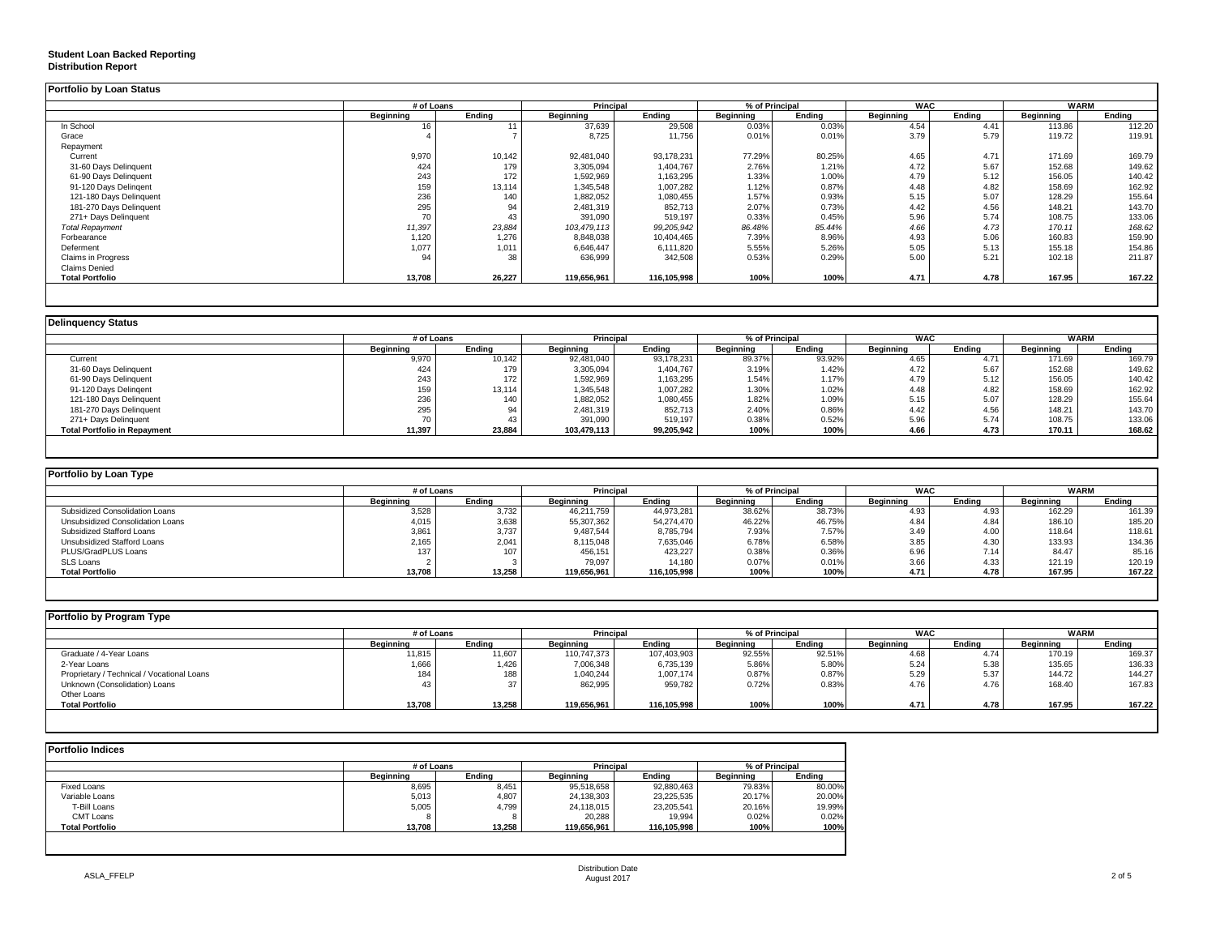### **Student Loan Backed Reporting**

#### **Distribution Report**

|                           | # of Loans |        | <b>Principal</b> |             | % of Principal |        | <b>WAC</b> |        | <b>WARM</b> |        |
|---------------------------|------------|--------|------------------|-------------|----------------|--------|------------|--------|-------------|--------|
|                           | Beginning  | Endina | Beginning        | Endina      | Beginning      | Endina | Beginning  | Endina | Beginning   | Endina |
| In School                 |            |        | 37,639           | 29,508      | 0.03%          | 0.03%  | 4.54       | 4.41   | 113.86      | 112.20 |
| Grace                     |            |        | 8,725            | 11,756      | 0.01%          | 0.01%  | 3.79       | 5.79   | 119.72      | 119.91 |
| Repayment                 |            |        |                  |             |                |        |            |        |             |        |
| Current                   | 9,970      | 10,142 | 92,481,040       | 93,178,231  | 77.29%         | 80.25% | 4.65       | 4.71   | 171.69      | 169.79 |
| 31-60 Days Delinquent     | 424        | 179    | 3,305,094        | 1,404,767   | 2.76%          | 1.21%  | 4.72       | 5.67   | 152.68      | 149.62 |
| 61-90 Days Delinquent     | 243        | 172    | 1,592,969        | 1,163,295   | 1.33%          | 1.00%  | 4.79       | 5.12   | 156.05      | 140.42 |
| 91-120 Days Delingent     | 159        | 13,114 | 1,345,548        | 1,007,282   | 1.12%          | 0.87%  | 4.48       | 4.82   | 158.69      | 162.92 |
| 121-180 Days Delinquent   | 236        | 140    | 1,882,052        | 1,080,455   | 1.57%          | 0.93%  | 5.15       | 5.07   | 128.29      | 155.64 |
| 181-270 Days Delinquent   | 295        | 94     | 2,481,319        | 852,713     | 2.07%          | 0.73%  | 4.42       | 4.56   | 148.21      | 143.70 |
| 271+ Days Delinquent      |            | 43     | 391,090          | 519,197     | 0.33%          | 0.45%  | 5.96       | 5.74   | 108.75      | 133.06 |
| <b>Total Repayment</b>    | 11,397     | 23,884 | 103,479,113      | 99,205,942  | 86.48%         | 85.44% | 4.66       | 4.73   | 170.11      | 168.62 |
| Forbearance               | 1,120      | 1,276  | 8,848,038        | 10,404,465  | 7.39%          | 8.96%  | 4.93       | 5.06   | 160.83      | 159.90 |
| Deferment                 | 1,077      | 1,011  | 6,646,447        | 6,111,820   | 5.55%          | 5.26%  | 5.05       | 5.13   | 155.18      | 154.86 |
| <b>Claims in Progress</b> | 94         | 38     | 636,999          | 342,508     | 0.53%          | 0.29%  | 5.00       | 5.21   | 102.18      | 211.87 |
| <b>Claims Denied</b>      |            |        |                  |             |                |        |            |        |             |        |
| <b>Total Portfolio</b>    | 13,708     | 26,227 | 119,656,961      | 116,105,998 | 100%           | 100%   | 4.71       | 4.78   | 167.95      | 167.22 |

|                                     | # of Loans |        | Principal        |            | % of Principal   |        | <b>WAC</b>       |        | <b>WARM</b>      |        |
|-------------------------------------|------------|--------|------------------|------------|------------------|--------|------------------|--------|------------------|--------|
|                                     | Beginning  | Ending | <b>Beginning</b> | Ending     | <b>Beginning</b> | Ending | <b>Beginning</b> | Endina | <b>Beginning</b> | Endina |
| Current                             | 9,970      | 10,142 | 92,481,040       | 93,178,231 | 89.37%           | 93.92% | 4.65             | 4.71   | 171.69           | 169.79 |
| 31-60 Days Delinquent               | 424        | 179    | 3,305,094        | 1,404,767  | 3.19%            | 1.42%  | 4.72             | 5.67   | 152.68           | 149.62 |
| 61-90 Days Delinquent               | 243        | 172    | 1,592,969        | 1,163,295  | 1.54%            | 1.17%  | 4.79             | 5.12   | 156.05           | 140.42 |
| 91-120 Days Delingent               | 159        | 13,114 | 1,345,548        | 1,007,282  | 1.30%            | 1.02%  | 4.48             | 4.82   | 158.69           | 162.92 |
| 121-180 Days Delinquent             | 236        | 140    | 1,882,052        | 1,080,455  | 1.82%            | 1.09%  | 5.15             | 5.07   | 128.29           | 155.64 |
| 181-270 Days Delinquent             | 295        | 94     | 2,481,319        | 852,713    | 2.40%            | 0.86%  | 4.42             | 4.56   | 148.21           | 143.70 |
| 271+ Days Delinquent                |            | 43     | 391,090          | 519,197    | 0.38%            | 0.52%  | 5.96             | 5.74   | 108.75           | 133.06 |
| <b>Total Portfolio in Repayment</b> | 11,397     | 23,884 | 103,479,113      | 99,205,942 | 100%             | 100%   | 4.66             | 4.73   | 170.11           | 168.62 |

| Portfolio by Loan Type           |                  |        |                  |             |                |        |            |        |           |             |
|----------------------------------|------------------|--------|------------------|-------------|----------------|--------|------------|--------|-----------|-------------|
|                                  | # of Loans       |        | <b>Principal</b> |             | % of Principal |        | <b>WAC</b> |        |           | <b>WARM</b> |
|                                  | <b>Beginning</b> | Endina | Beainnina        | Endina      | Beginning      | Endina | Beginning  | Endina | Beginning | Endina      |
| Subsidized Consolidation Loans   | 3,528            | 3,732  | 46,211,759       | 44,973,281  | 38.62%         | 38.73% | 4.93       | 4.93   | 162.29    | 161.39      |
| Unsubsidized Consolidation Loans | 4,015            | 3,638  | 55,307,362       | 54.274.470  | 46.22%         | 46.75% | 4.84       | 4.84   | 186.10    | 185.20      |
| Subsidized Stafford Loans        | 3,861            | 3,737  | 9,487,544        | 8,785,794   | 7.93%          | 7.57%  | 3.49       | 4.00   | 118.64    | 118.61      |
| Unsubsidized Stafford Loans      | 2.165            | 2.041  | 8,115,048        | 7,635,046   | 6.78%          | 6.58%  | 3.85       | 4.30   | 133.93    | 134.36      |
| PLUS/GradPLUS Loans              | 137              | 107    | 456,151          | 423.227     | 0.38%          | 0.36%  | 6.96       | 7.14   | 84.47     | 85.16       |
| SLS Loans                        |                  |        | 79.097           | 14.180      | 0.07%          | 0.01%  | 3.66       | 4.33   | 121.19    | 120.19      |
| <b>Total Portfolio</b>           | 13,708           | 13,258 | 119,656,961      | 116,105,998 | 100%           | 100%   | 4.71       | 4.78   | 167.95    | 167.22      |

|           |        |                  |             |                  |        |                  |        |            | <b>WARM</b> |
|-----------|--------|------------------|-------------|------------------|--------|------------------|--------|------------|-------------|
| Beainnina | Endina | <b>Beginning</b> | Endina      | Beginning        | Endina | <b>Beainning</b> | Endina | Beginning  | Endina      |
| 11,815    | 11,607 | 110,747,373      | 107,403,903 | 92.55%           | 92.51% | 4.68             | 4.74   | 170.19     | 169.37      |
| 1,666     | 1,426  | 7,006,348        | 6,735,139   | 5.86%            | 5.80%  | 5.24             | 5.38   | 135.65     | 136.33      |
|           | 188    | 1,040,244        | 1,007,174   | 0.87%            | 0.87%  | 5.29             | 5.37   | 144.72     | 144.27      |
|           |        | 862,995          | 959,782     | 0.72%            | 0.83%  | 4.76             | 4.76   | 168.40     | 167.83      |
|           |        |                  |             |                  |        |                  |        |            |             |
| 13,708    | 13,258 | 119,656,961      | 116,105,998 | 100%             | 100%   | 4.71             | 4.78   | 167.95     | 167.22      |
|           |        | # of Loans       |             | <b>Principal</b> |        | % of Principal   |        | <b>WAC</b> |             |

| <b>Portfolio Indices</b> |            |        |                  |             |                  |        |
|--------------------------|------------|--------|------------------|-------------|------------------|--------|
|                          | # of Loans |        | <b>Principal</b> |             | % of Principal   |        |
|                          | Beainnina  | Endina | Beainnina        | Endina      | <b>Beainning</b> | Ending |
| <b>Fixed Loans</b>       | 8,695      | 8,451  | 95,518,658       | 92,880,463  | 79.83%           | 80.00% |
| Variable Loans           | 5,013      | 4.807  | 24,138,303       | 23,225,535  | 20.17%           | 20.00% |
| T-Bill Loans             | 5,005      | 4.799  | 24,118,015       | 23,205,541  | 20.16%           | 19.99% |
| CMT Loans                |            |        | 20,288           | 19.994      | 0.02%            | 0.02%  |
| <b>Total Portfolio</b>   | 13.708     | 13.258 | 119.656.961      | 116.105.998 | 100%             | 100%   |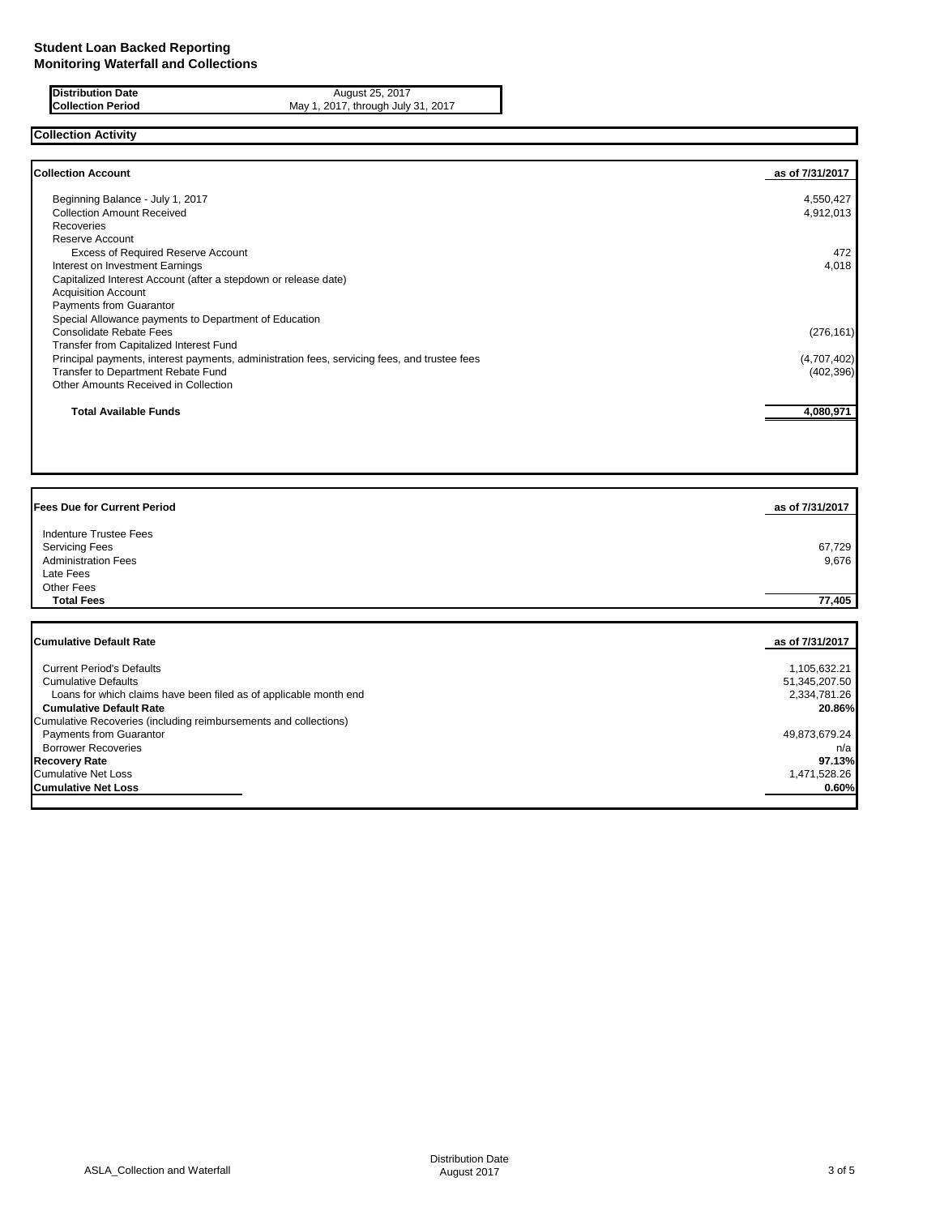| <b>Distribution Date</b> |  |
|--------------------------|--|
| Collection Period        |  |

**Distribution Date** August 25, 2017 **Collection Period** May 1, 2017, through July 31, 2017

## **Collection Activity**

| <b>Collection Account</b>                                                                    | as of 7/31/2017 |
|----------------------------------------------------------------------------------------------|-----------------|
| Beginning Balance - July 1, 2017                                                             | 4,550,427       |
| <b>Collection Amount Received</b>                                                            | 4,912,013       |
| Recoveries                                                                                   |                 |
| Reserve Account                                                                              |                 |
| Excess of Required Reserve Account                                                           | 472             |
| Interest on Investment Earnings                                                              | 4,018           |
| Capitalized Interest Account (after a stepdown or release date)                              |                 |
| <b>Acquisition Account</b>                                                                   |                 |
| Payments from Guarantor                                                                      |                 |
| Special Allowance payments to Department of Education                                        |                 |
| Consolidate Rebate Fees                                                                      | (276, 161)      |
| Transfer from Capitalized Interest Fund                                                      |                 |
| Principal payments, interest payments, administration fees, servicing fees, and trustee fees | (4,707,402)     |
| Transfer to Department Rebate Fund                                                           | (402, 396)      |
| Other Amounts Received in Collection                                                         |                 |
| <b>Total Available Funds</b>                                                                 | 4,080,971       |
|                                                                                              |                 |
|                                                                                              |                 |
|                                                                                              |                 |
| <b>Fees Due for Current Period</b>                                                           | as of 7/31/2017 |

| Indenture Trustee Fees<br><b>Servicing Fees</b><br><b>Administration Fees</b><br>Late Fees<br><b>Other Fees</b> | 67,729<br>9,676 |
|-----------------------------------------------------------------------------------------------------------------|-----------------|
| <b>Total Fees</b>                                                                                               | 77,405          |
| <b>Cumulative Default Rate</b>                                                                                  | as of 7/31/2017 |
|                                                                                                                 |                 |
| <b>Current Period's Defaults</b>                                                                                | 1,105,632.21    |
| <b>Cumulative Defaults</b>                                                                                      | 51,345,207.50   |
| Loans for which claims have been filed as of applicable month end                                               | 2,334,781.26    |
| <b>Cumulative Default Rate</b>                                                                                  | 20.86%          |
| Cumulative Recoveries (including reimbursements and collections)                                                |                 |

Payments from Guarantor (networking comes under the concentration)<br>Payments from Guarantor (networking comes under the concentration of the concentration of the concentration of the concentration of the concentration of th Borrower Recoveries networks and the content of the content of the content of the content of the content of the content of the content of the content of the content of the content of the content of the content of the conte **Recovery Rate 97.13%** Cumulative Net Loss 1,471,528.26<br> **Cumulative Net Loss 1,471,528.26**<br> **Cumulative Net Loss Cumulative Net Loss**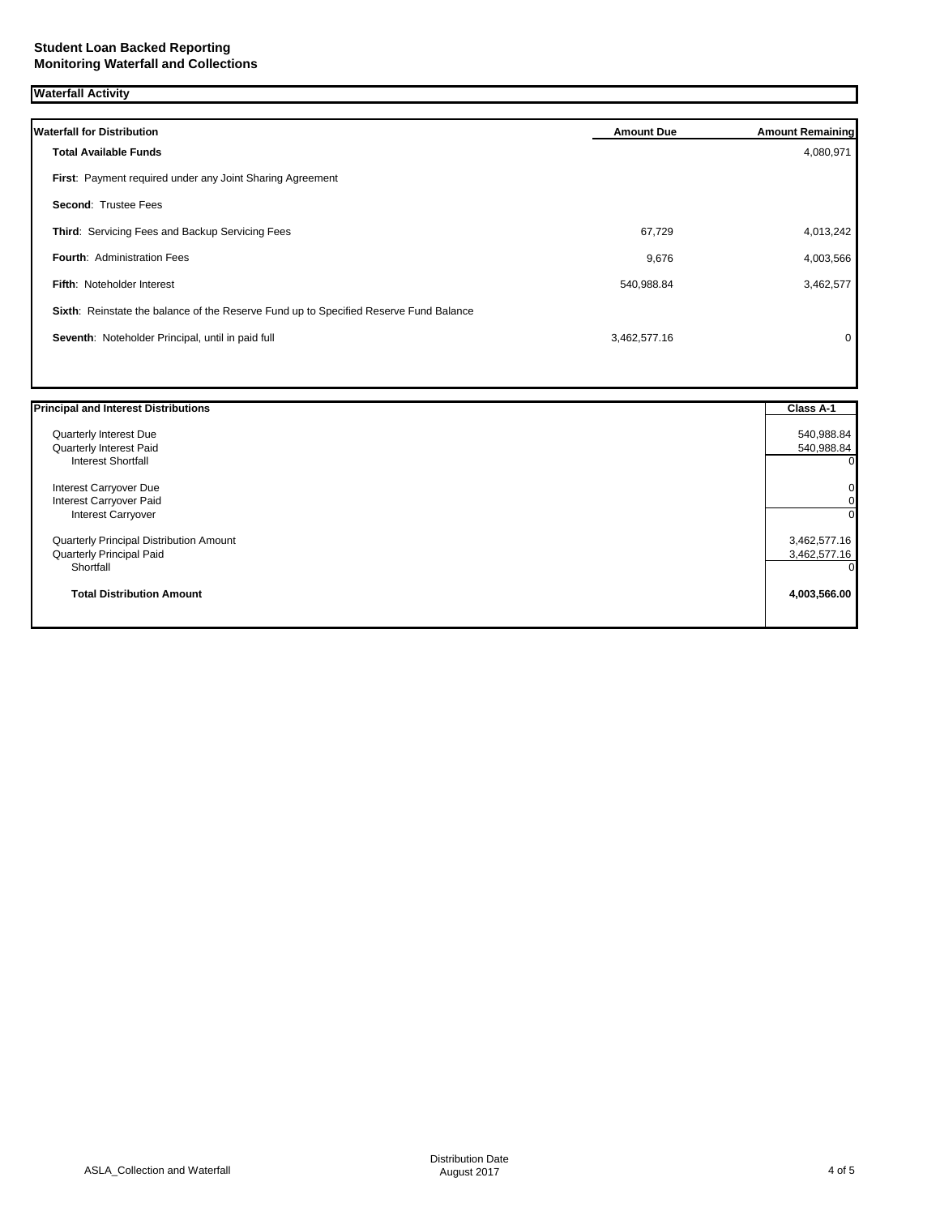| <b>Waterfall for Distribution</b>                                                     | <b>Amount Due</b> | <b>Amount Remaining</b> |
|---------------------------------------------------------------------------------------|-------------------|-------------------------|
| <b>Total Available Funds</b>                                                          |                   | 4,080,971               |
| First: Payment required under any Joint Sharing Agreement                             |                   |                         |
| <b>Second: Trustee Fees</b>                                                           |                   |                         |
| Third: Servicing Fees and Backup Servicing Fees                                       | 67,729            | 4,013,242               |
| <b>Fourth: Administration Fees</b>                                                    | 9,676             | 4,003,566               |
| <b>Fifth: Noteholder Interest</b>                                                     | 540,988.84        | 3,462,577               |
| Sixth: Reinstate the balance of the Reserve Fund up to Specified Reserve Fund Balance |                   |                         |
| Seventh: Noteholder Principal, until in paid full                                     | 3,462,577.16      | 0                       |
|                                                                                       |                   |                         |

| <b>Principal and Interest Distributions</b> | Class A-1    |
|---------------------------------------------|--------------|
| Quarterly Interest Due                      | 540,988.84   |
| Quarterly Interest Paid                     | 540,988.84   |
| Interest Shortfall                          |              |
| Interest Carryover Due                      |              |
| Interest Carryover Paid                     |              |
| Interest Carryover                          |              |
| Quarterly Principal Distribution Amount     | 3,462,577.16 |
| Quarterly Principal Paid                    | 3,462,577.16 |
| Shortfall                                   |              |
| <b>Total Distribution Amount</b>            | 4,003,566.00 |
|                                             |              |